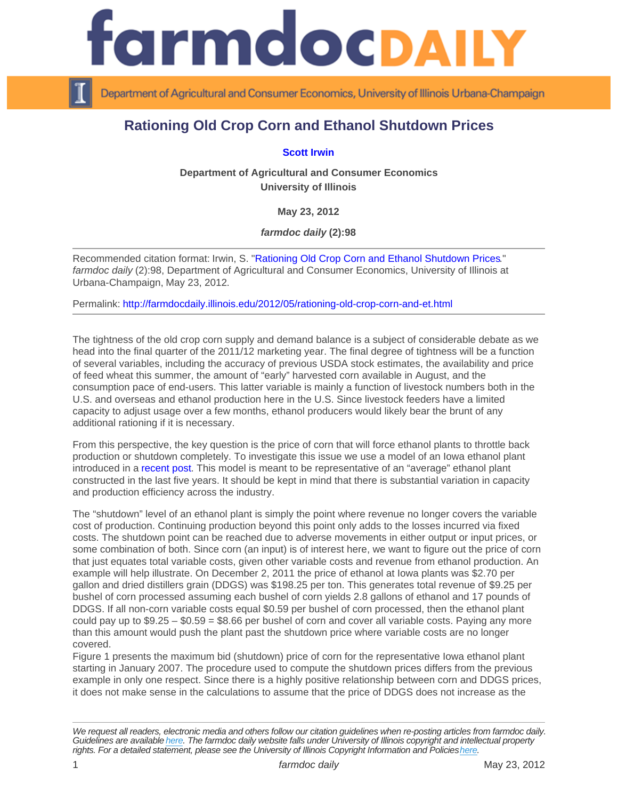## Rationing Old Crop Corn and Ethanol Shutdown Prices

[Scott Irwin](http://www.farmdoc.illinois.edu/irwin/)

Department of Agricultural and Consumer Economics University of Illinois

May 23, 2012

farmdoc daily (2):98

Recommended citation format: Irwin, S. "[Rationing Old Crop Corn and Ethanol Shutdown Prices](http://farmdocdaily.illinois.edu/2012/05/rationing-old-crop-corn-and-et.html)." farmdoc daily (2):98, Department of Agricultural and Consumer Economics, University of Illinois at Urbana-Champaign, May 23, 2012.

Permalink:<http://farmdocdaily.illinois.edu/2012/05/rationing-old-crop-corn-and-et.html>

The tightness of the old crop corn supply and demand balance is a subject of considerable debate as we head into the final quarter of the 2011/12 marketing year. The final degree of tightness will be a function of several variables, including the accuracy of previous USDA stock estimates, the availability and price of feed wheat this summer, the amount of "early" harvested corn available in August, and the consumption pace of end-users. This latter variable is mainly a function of livestock numbers both in the U.S. and overseas and ethanol production here in the U.S. Since livestock feeders have a limited capacity to adjust usage over a few months, ethanol producers would likely bear the brunt of any additional rationing if it is necessary.

From this perspective, the key question is the price of corn that will force ethanol plants to throttle back production or shutdown completely. To investigate this issue we use a model of an Iowa ethanol plant introduced in a [recent post](http://www.farmdocdaily.illinois.edu/2012/04/a_look_at_the_profitability_of.html). This model is meant to be representative of an "average" ethanol plant constructed in the last five years. It should be kept in mind that there is substantial variation in capacity and production efficiency across the industry.

The "shutdown" level of an ethanol plant is simply the point where revenue no longer covers the variable cost of production. Continuing production beyond this point only adds to the losses incurred via fixed costs. The shutdown point can be reached due to adverse movements in either output or input prices, or some combination of both. Since corn (an input) is of interest here, we want to figure out the price of corn that just equates total variable costs, given other variable costs and revenue from ethanol production. An example will help illustrate. On December 2, 2011 the price of ethanol at Iowa plants was \$2.70 per gallon and dried distillers grain (DDGS) was \$198.25 per ton. This generates total revenue of \$9.25 per bushel of corn processed assuming each bushel of corn yields 2.8 gallons of ethanol and 17 pounds of DDGS. If all non-corn variable costs equal \$0.59 per bushel of corn processed, then the ethanol plant could pay up to  $$9.25 - $0.59 = $8.66$  per bushel of corn and cover all variable costs. Paying any more than this amount would push the plant past the shutdown price where variable costs are no longer covered.

Figure 1 presents the maximum bid (shutdown) price of corn for the representative Iowa ethanol plant starting in January 2007. The procedure used to compute the shutdown prices differs from the previous example in only one respect. Since there is a highly positive relationship between corn and DDGS prices, it does not make sense in the calculations to assume that the price of DDGS does not increase as the

We request all readers, electronic media and others follow our citation guidelines when re-posting articles from farmdoc daily. Guidelines are available [here](http://farmdocdaily.illinois.edu/citationguide.html). The farmdoc daily website falls under University of Illinois copyright and intellectual property rights. For a detailed statement, please see the University of Illinois Copyright Information and Policies [here.](https://techservices.illinois.edu/office-cio)